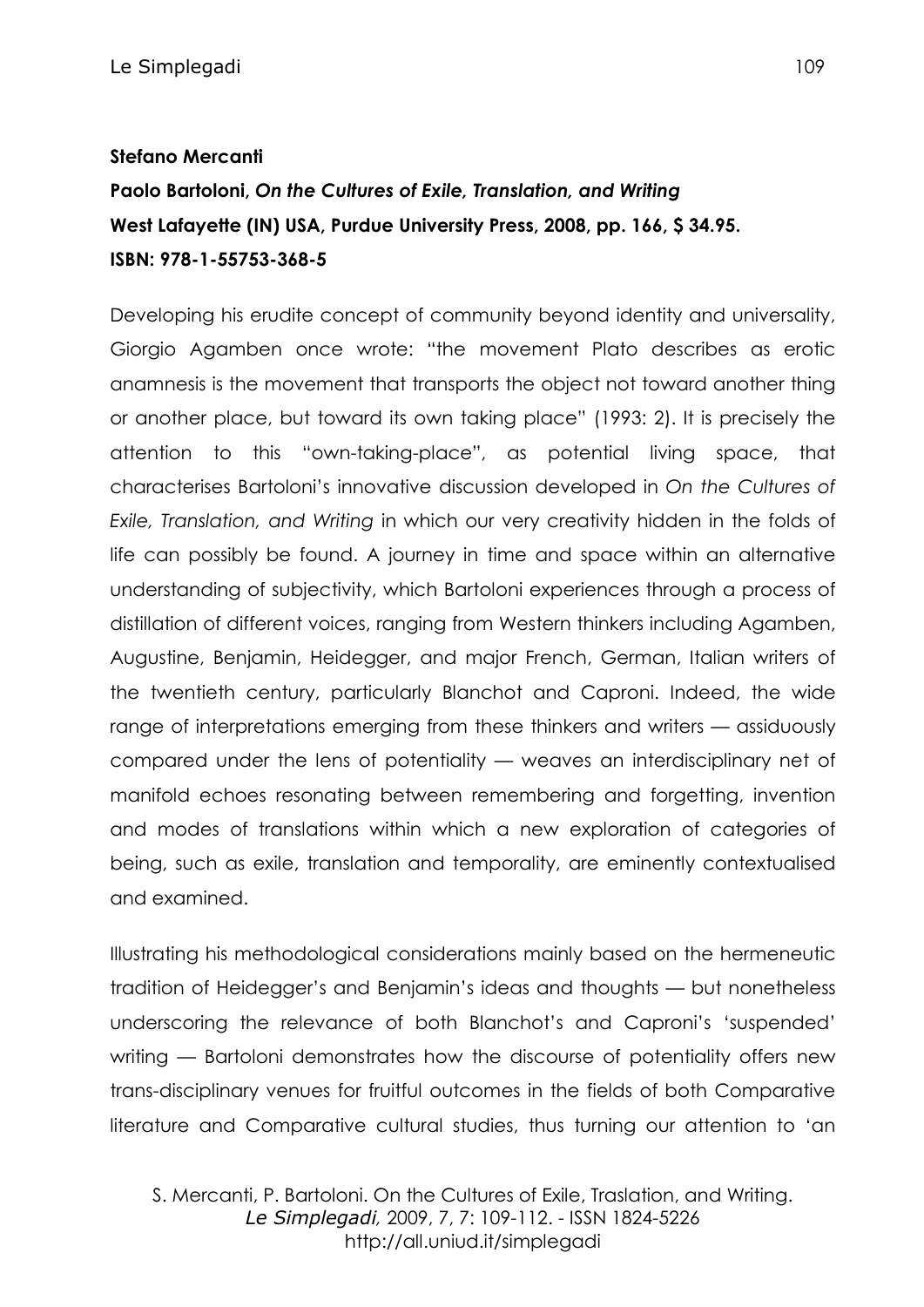## **Stefano Mercanti**

# **Paolo Bartoloni,** *On the Cultures of Exile, Translation, and Writing* **West Lafayette (IN) USA, Purdue University Press, 2008, pp. 166, \$ 34.95. ISBN: 978-1-55753-368-5**

Developing his erudite concept of community beyond identity and universality, Giorgio Agamben once wrote: "the movement Plato describes as erotic anamnesis is the movement that transports the object not toward another thing or another place, but toward its own taking place" (1993: 2). It is precisely the attention to this "own-taking-place", as potential living space, that characterises Bartoloni's innovative discussion developed in *On the Cultures of Exile, Translation, and Writing* in which our very creativity hidden in the folds of life can possibly be found. A journey in time and space within an alternative understanding of subjectivity, which Bartoloni experiences through a process of distillation of different voices, ranging from Western thinkers including Agamben, Augustine, Benjamin, Heidegger, and major French, German, Italian writers of the twentieth century, particularly Blanchot and Caproni. Indeed, the wide range of interpretations emerging from these thinkers and writers — assiduously compared under the lens of potentiality — weaves an interdisciplinary net of manifold echoes resonating between remembering and forgetting, invention and modes of translations within which a new exploration of categories of being, such as exile, translation and temporality, are eminently contextualised and examined.

Illustrating his methodological considerations mainly based on the hermeneutic tradition of Heidegger's and Benjamin's ideas and thoughts — but nonetheless underscoring the relevance of both Blanchot's and Caproni's 'suspended' writing — Bartoloni demonstrates how the discourse of potentiality offers new trans-disciplinary venues for fruitful outcomes in the fields of both Comparative literature and Comparative cultural studies, thus turning our attention to 'an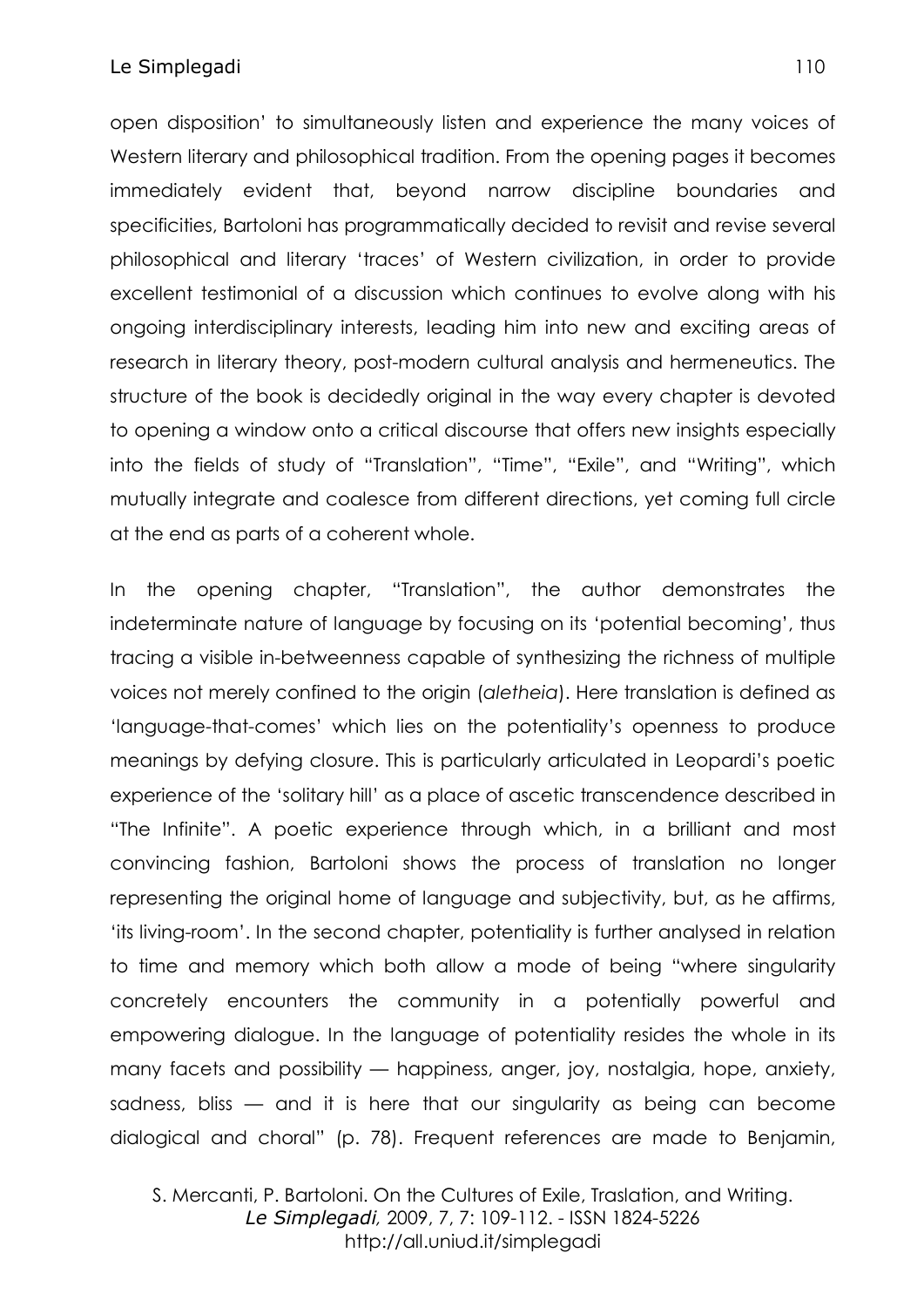open disposition' to simultaneously listen and experience the many voices of Western literary and philosophical tradition. From the opening pages it becomes immediately evident that, beyond narrow discipline boundaries and specificities, Bartoloni has programmatically decided to revisit and revise several philosophical and literary 'traces' of Western civilization, in order to provide excellent testimonial of a discussion which continues to evolve along with his ongoing interdisciplinary interests, leading him into new and exciting areas of research in literary theory, post-modern cultural analysis and hermeneutics. The structure of the book is decidedly original in the way every chapter is devoted to opening a window onto a critical discourse that offers new insights especially into the fields of study of "Translation", "Time", "Exile", and "Writing", which mutually integrate and coalesce from different directions, yet coming full circle at the end as parts of a coherent whole.

In the opening chapter, "Translation", the author demonstrates the indeterminate nature of language by focusing on its 'potential becoming', thus tracing a visible in-betweenness capable of synthesizing the richness of multiple voices not merely confined to the origin (*aletheia*). Here translation is defined as 'language-that-comes' which lies on the potentiality's openness to produce meanings by defying closure. This is particularly articulated in Leopardi's poetic experience of the 'solitary hill' as a place of ascetic transcendence described in "The Infinite". A poetic experience through which, in a brilliant and most convincing fashion, Bartoloni shows the process of translation no longer representing the original home of language and subjectivity, but, as he affirms, 'its living-room'. In the second chapter, potentiality is further analysed in relation to time and memory which both allow a mode of being "where singularity concretely encounters the community in a potentially powerful and empowering dialogue. In the language of potentiality resides the whole in its many facets and possibility — happiness, anger, joy, nostalgia, hope, anxiety, sadness, bliss — and it is here that our singularity as being can become dialogical and choral" (p. 78). Frequent references are made to Benjamin,

S. Mercanti, P. Bartoloni. On the Cultures of Exile, Traslation, and Writing. *Le Simplegadi,* 2009, 7, 7: 109-112. - ISSN 1824-5226 http://all.uniud.it/simplegadi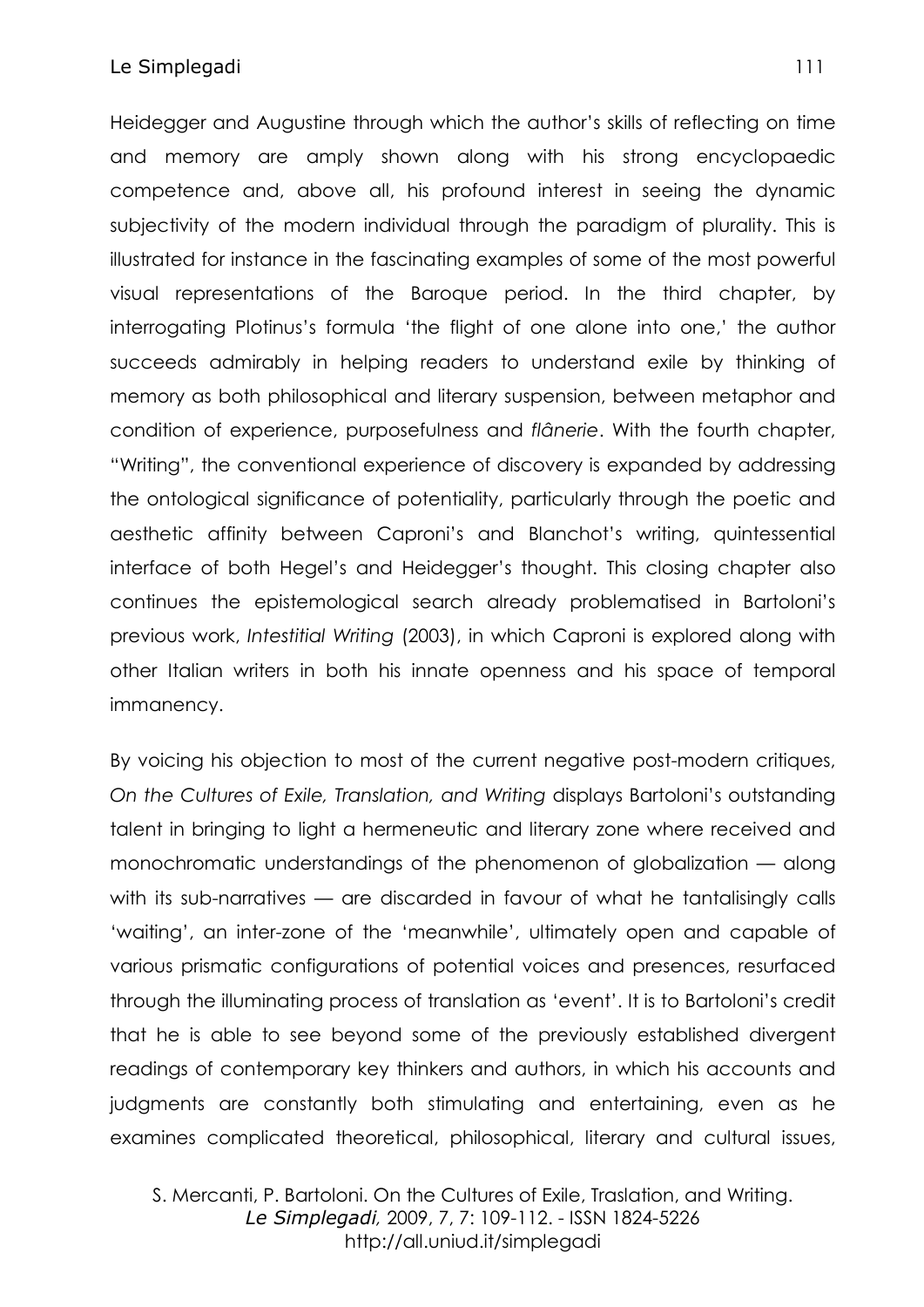#### Le Simplegadi and the state of the state of the state of the state of the state of the state of the state of the state of the state of the state of the state of the state of the state of the state of the state of the state

Heidegger and Augustine through which the author's skills of reflecting on time and memory are amply shown along with his strong encyclopaedic competence and, above all, his profound interest in seeing the dynamic subjectivity of the modern individual through the paradigm of plurality. This is illustrated for instance in the fascinating examples of some of the most powerful visual representations of the Baroque period. In the third chapter, by interrogating Plotinus's formula 'the flight of one alone into one,' the author succeeds admirably in helping readers to understand exile by thinking of memory as both philosophical and literary suspension, between metaphor and condition of experience, purposefulness and *flânerie*. With the fourth chapter, "Writing", the conventional experience of discovery is expanded by addressing the ontological significance of potentiality, particularly through the poetic and aesthetic affinity between Caproni's and Blanchot's writing, quintessential interface of both Hegel's and Heidegger's thought. This closing chapter also continues the epistemological search already problematised in Bartoloni's previous work, *Intestitial Writing* (2003), in which Caproni is explored along with other Italian writers in both his innate openness and his space of temporal immanency.

By voicing his objection to most of the current negative post-modern critiques, *On the Cultures of Exile, Translation, and Writing* displays Bartoloni's outstanding talent in bringing to light a hermeneutic and literary zone where received and monochromatic understandings of the phenomenon of globalization — along with its sub-narratives — are discarded in favour of what he tantalisingly calls 'waiting', an inter-zone of the 'meanwhile', ultimately open and capable of various prismatic configurations of potential voices and presences, resurfaced through the illuminating process of translation as 'event'. It is to Bartoloni's credit that he is able to see beyond some of the previously established divergent readings of contemporary key thinkers and authors, in which his accounts and judgments are constantly both stimulating and entertaining, even as he examines complicated theoretical, philosophical, literary and cultural issues,

S. Mercanti, P. Bartoloni. On the Cultures of Exile, Traslation, and Writing. *Le Simplegadi,* 2009, 7, 7: 109-112. - ISSN 1824-5226 http://all.uniud.it/simplegadi